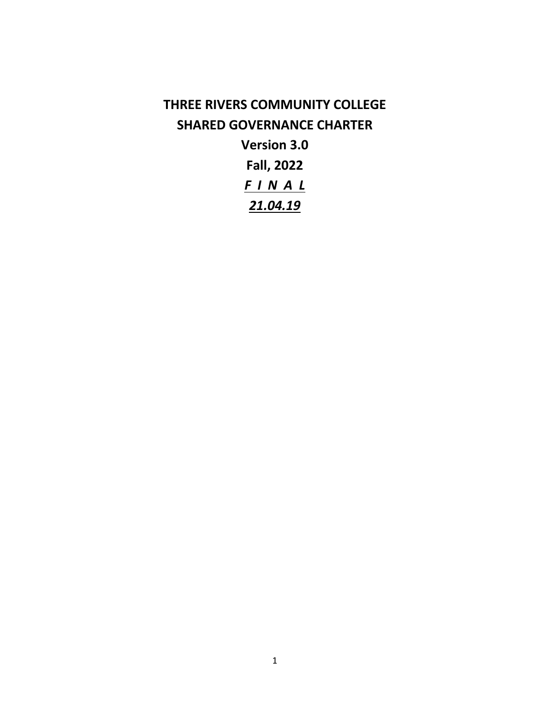# **THREE RIVERS COMMUNITY COLLEGE SHARED GOVERNANCE CHARTER Version 3.0 Fall, 2022** *F I N A L 21.04.19*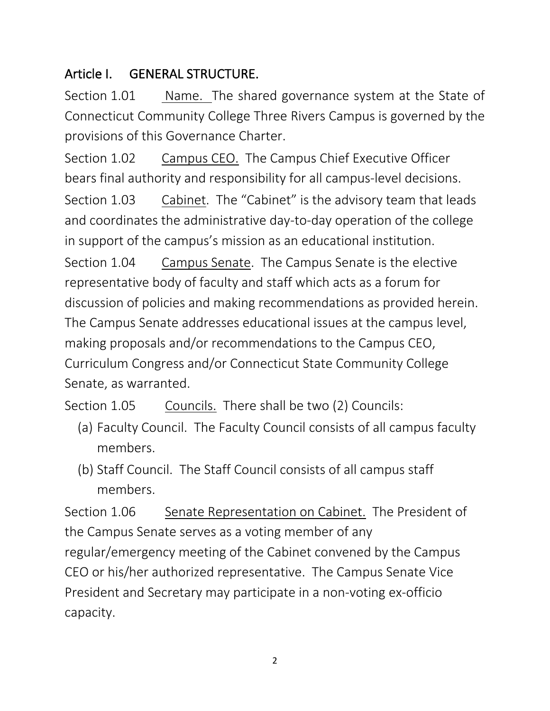## Article I. GENERAL STRUCTURE.

Section 1.01 Name. The shared governance system at the State of Connecticut Community College Three Rivers Campus is governed by the provisions of this Governance Charter.

Section 1.02 Campus CEO. The Campus Chief Executive Officer bears final authority and responsibility for all campus-level decisions. Section 1.03 Cabinet. The "Cabinet" is the advisory team that leads and coordinates the administrative day-to-day operation of the college in support of the campus's mission as an educational institution. Section 1.04 Campus Senate. The Campus Senate is the elective representative body of faculty and staff which acts as a forum for discussion of policies and making recommendations as provided herein. The Campus Senate addresses educational issues at the campus level, making proposals and/or recommendations to the Campus CEO, Curriculum Congress and/or Connecticut State Community College Senate, as warranted.

Section 1.05 Councils. There shall be two (2) Councils:

- (a) Faculty Council. The Faculty Council consists of all campus faculty members.
- (b) Staff Council. The Staff Council consists of all campus staff members.

Section 1.06 Senate Representation on Cabinet. The President of the Campus Senate serves as a voting member of any regular/emergency meeting of the Cabinet convened by the Campus CEO or his/her authorized representative. The Campus Senate Vice President and Secretary may participate in a non-voting ex-officio capacity.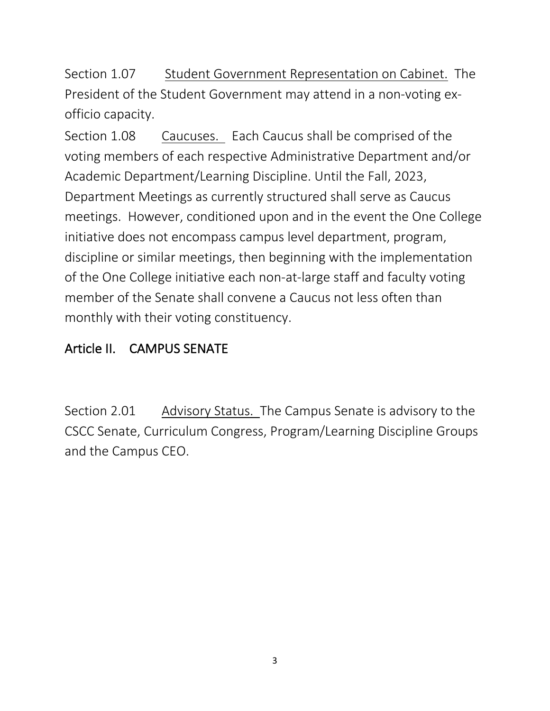Section 1.07 Student Government Representation on Cabinet. The President of the Student Government may attend in a non-voting exofficio capacity.

Section 1.08 Caucuses. Each Caucus shall be comprised of the voting members of each respective Administrative Department and/or Academic Department/Learning Discipline. Until the Fall, 2023, Department Meetings as currently structured shall serve as Caucus meetings. However, conditioned upon and in the event the One College initiative does not encompass campus level department, program, discipline or similar meetings, then beginning with the implementation of the One College initiative each non-at-large staff and faculty voting member of the Senate shall convene a Caucus not less often than monthly with their voting constituency.

## Article II. CAMPUS SENATE

Section 2.01 Advisory Status. The Campus Senate is advisory to the CSCC Senate, Curriculum Congress, Program/Learning Discipline Groups and the Campus CEO.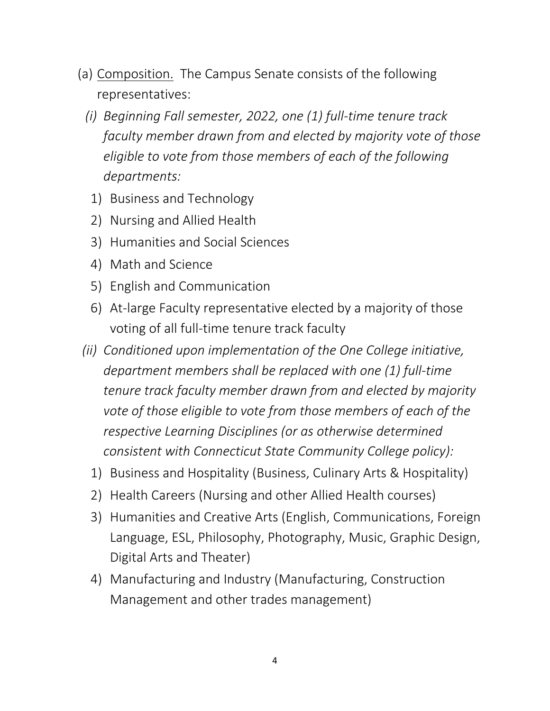- (a) Composition. The Campus Senate consists of the following representatives:
	- *(i) Beginning Fall semester, 2022, one (1) full-time tenure track faculty member drawn from and elected by majority vote of those eligible to vote from those members of each of the following departments:*
		- 1) Business and Technology
		- 2) Nursing and Allied Health
		- 3) Humanities and Social Sciences
		- 4) Math and Science
		- 5) English and Communication
		- 6) At-large Faculty representative elected by a majority of those voting of all full-time tenure track faculty
- *(ii) Conditioned upon implementation of the One College initiative, department members shall be replaced with one (1) full-time tenure track faculty member drawn from and elected by majority vote of those eligible to vote from those members of each of the respective Learning Disciplines (or as otherwise determined consistent with Connecticut State Community College policy):*
	- 1) Business and Hospitality (Business, Culinary Arts & Hospitality)
	- 2) Health Careers (Nursing and other Allied Health courses)
	- 3) Humanities and Creative Arts (English, Communications, Foreign Language, ESL, Philosophy, Photography, Music, Graphic Design, Digital Arts and Theater)
	- 4) Manufacturing and Industry (Manufacturing, Construction Management and other trades management)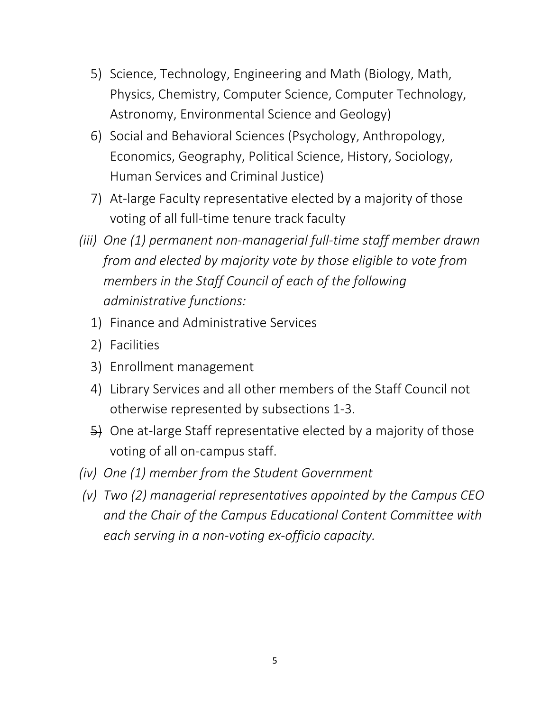- 5) Science, Technology, Engineering and Math (Biology, Math, Physics, Chemistry, Computer Science, Computer Technology, Astronomy, Environmental Science and Geology)
- 6) Social and Behavioral Sciences (Psychology, Anthropology, Economics, Geography, Political Science, History, Sociology, Human Services and Criminal Justice)
- 7) At-large Faculty representative elected by a majority of those voting of all full-time tenure track faculty
- *(iii) One (1) permanent non-managerial full-time staff member drawn from and elected by majority vote by those eligible to vote from members in the Staff Council of each of the following administrative functions:*
	- 1) Finance and Administrative Services
	- 2) Facilities
	- 3) Enrollment management
	- 4) Library Services and all other members of the Staff Council not otherwise represented by subsections 1-3.
	- 5) One at-large Staff representative elected by a majority of those voting of all on-campus staff.
- *(iv) One (1) member from the Student Government*
- *(v) Two (2) managerial representatives appointed by the Campus CEO and the Chair of the Campus Educational Content Committee with each serving in a non-voting ex-officio capacity.*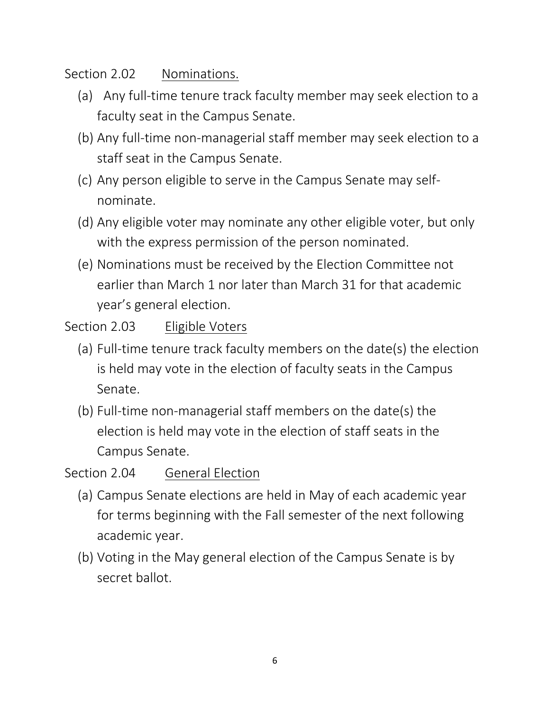#### Section 2.02 Nominations.

- (a) Any full-time tenure track faculty member may seek election to a faculty seat in the Campus Senate.
- (b) Any full-time non-managerial staff member may seek election to a staff seat in the Campus Senate.
- (c) Any person eligible to serve in the Campus Senate may selfnominate.
- (d) Any eligible voter may nominate any other eligible voter, but only with the express permission of the person nominated.
- (e) Nominations must be received by the Election Committee not earlier than March 1 nor later than March 31 for that academic year's general election.

#### Section 2.03 Eligible Voters

- (a) Full-time tenure track faculty members on the date(s) the election is held may vote in the election of faculty seats in the Campus Senate.
- (b) Full-time non-managerial staff members on the date(s) the election is held may vote in the election of staff seats in the Campus Senate.

#### Section 2.04 General Election

- (a) Campus Senate elections are held in May of each academic year for terms beginning with the Fall semester of the next following academic year.
- (b) Voting in the May general election of the Campus Senate is by secret ballot.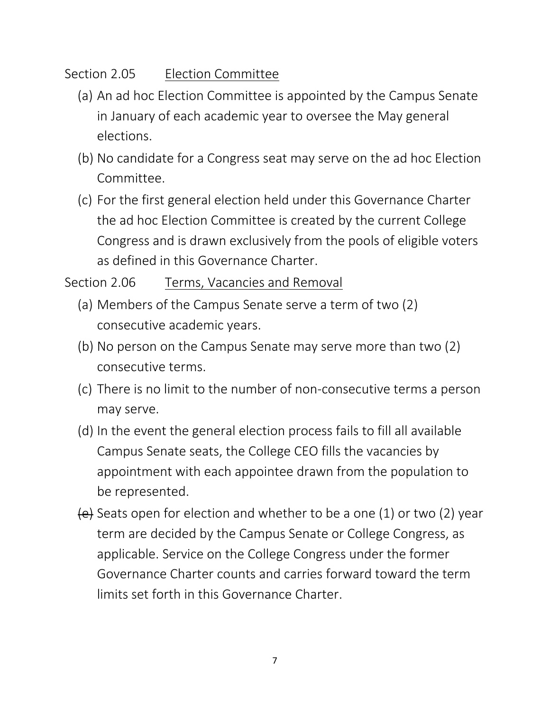### Section 2.05 Election Committee

- (a) An ad hoc Election Committee is appointed by the Campus Senate in January of each academic year to oversee the May general elections.
- (b) No candidate for a Congress seat may serve on the ad hoc Election Committee.
- (c) For the first general election held under this Governance Charter the ad hoc Election Committee is created by the current College Congress and is drawn exclusively from the pools of eligible voters as defined in this Governance Charter.

### Section 2.06 Terms, Vacancies and Removal

- (a) Members of the Campus Senate serve a term of two (2) consecutive academic years.
- (b) No person on the Campus Senate may serve more than two (2) consecutive terms.
- (c) There is no limit to the number of non-consecutive terms a person may serve.
- (d) In the event the general election process fails to fill all available Campus Senate seats, the College CEO fills the vacancies by appointment with each appointee drawn from the population to be represented.
- $\left\{ \frac{1}{2} \right\}$  Seats open for election and whether to be a one (1) or two (2) year term are decided by the Campus Senate or College Congress, as applicable. Service on the College Congress under the former Governance Charter counts and carries forward toward the term limits set forth in this Governance Charter.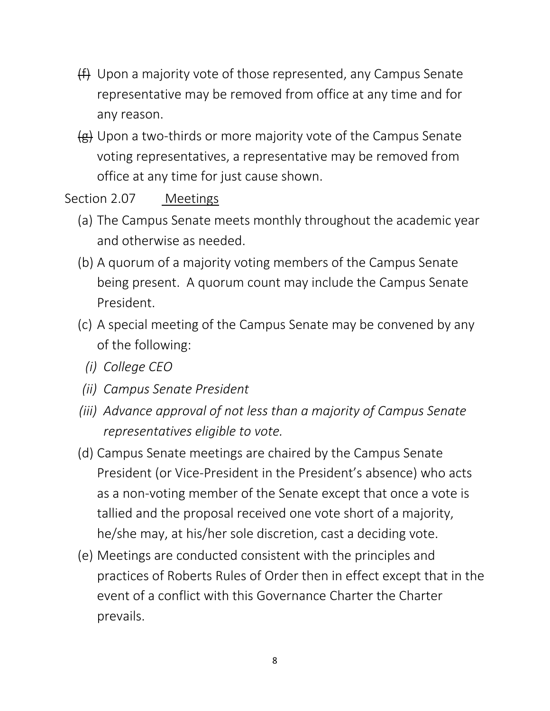- (f) Upon a majority vote of those represented, any Campus Senate representative may be removed from office at any time and for any reason.
- (g) Upon a two-thirds or more majority vote of the Campus Senate voting representatives, a representative may be removed from office at any time for just cause shown.

#### Section 2.07 Meetings

- (a) The Campus Senate meets monthly throughout the academic year and otherwise as needed.
- (b) A quorum of a majority voting members of the Campus Senate being present. A quorum count may include the Campus Senate President.
- (c) A special meeting of the Campus Senate may be convened by any of the following:
	- *(i) College CEO*
- *(ii) Campus Senate President*
- *(iii) Advance approval of not less than a majority of Campus Senate representatives eligible to vote.*
- (d) Campus Senate meetings are chaired by the Campus Senate President (or Vice-President in the President's absence) who acts as a non-voting member of the Senate except that once a vote is tallied and the proposal received one vote short of a majority, he/she may, at his/her sole discretion, cast a deciding vote.
- (e) Meetings are conducted consistent with the principles and practices of Roberts Rules of Order then in effect except that in the event of a conflict with this Governance Charter the Charter prevails.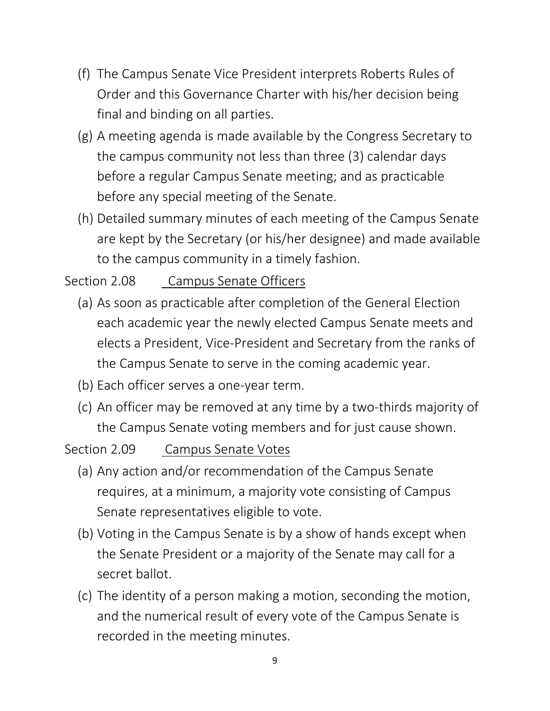- (f) The Campus Senate Vice President interprets Roberts Rules of Order and this Governance Charter with his/her decision being final and binding on all parties.
- (g) A meeting agenda is made available by the Congress Secretary to the campus community not less than three (3) calendar days before a regular Campus Senate meeting; and as practicable before any special meeting of the Senate.
- (h) Detailed summary minutes of each meeting of the Campus Senate are kept by the Secretary (or his/her designee) and made available to the campus community in a timely fashion.

## Section 2.08 Campus Senate Officers

- (a) As soon as practicable after completion of the General Election each academic year the newly elected Campus Senate meets and elects a President, Vice-President and Secretary from the ranks of the Campus Senate to serve in the coming academic year.
- (b) Each officer serves a one-year term.
- (c) An officer may be removed at any time by a two-thirds majority of the Campus Senate voting members and for just cause shown.

#### Section 2.09 Campus Senate Votes

- (a) Any action and/or recommendation of the Campus Senate requires, at a minimum, a majority vote consisting of Campus Senate representatives eligible to vote.
- (b) Voting in the Campus Senate is by a show of hands except when the Senate President or a majority of the Senate may call for a secret ballot.
- (c) The identity of a person making a motion, seconding the motion, and the numerical result of every vote of the Campus Senate is recorded in the meeting minutes.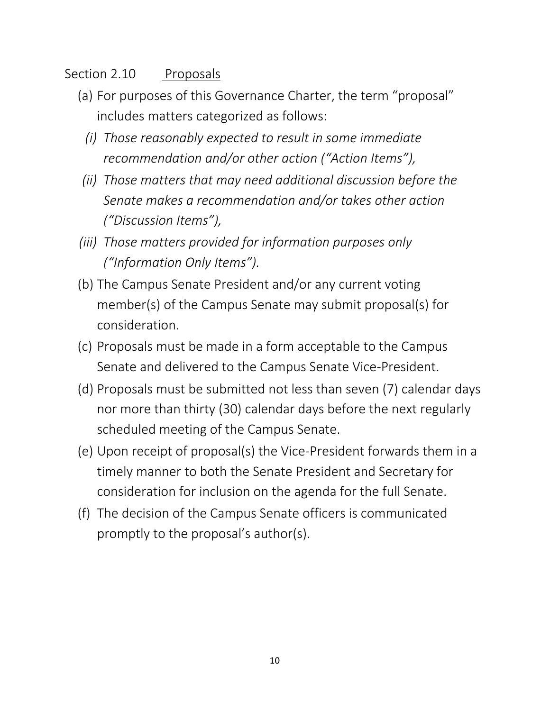#### Section 2.10 Proposals

- (a) For purposes of this Governance Charter, the term "proposal" includes matters categorized as follows:
	- *(i) Those reasonably expected to result in some immediate recommendation and/or other action ("Action Items"),*
- *(ii) Those matters that may need additional discussion before the Senate makes a recommendation and/or takes other action ("Discussion Items"),*
- *(iii) Those matters provided for information purposes only ("Information Only Items").*
- (b) The Campus Senate President and/or any current voting member(s) of the Campus Senate may submit proposal(s) for consideration.
- (c) Proposals must be made in a form acceptable to the Campus Senate and delivered to the Campus Senate Vice-President.
- (d) Proposals must be submitted not less than seven (7) calendar days nor more than thirty (30) calendar days before the next regularly scheduled meeting of the Campus Senate.
- (e) Upon receipt of proposal(s) the Vice-President forwards them in a timely manner to both the Senate President and Secretary for consideration for inclusion on the agenda for the full Senate.
- (f) The decision of the Campus Senate officers is communicated promptly to the proposal's author(s).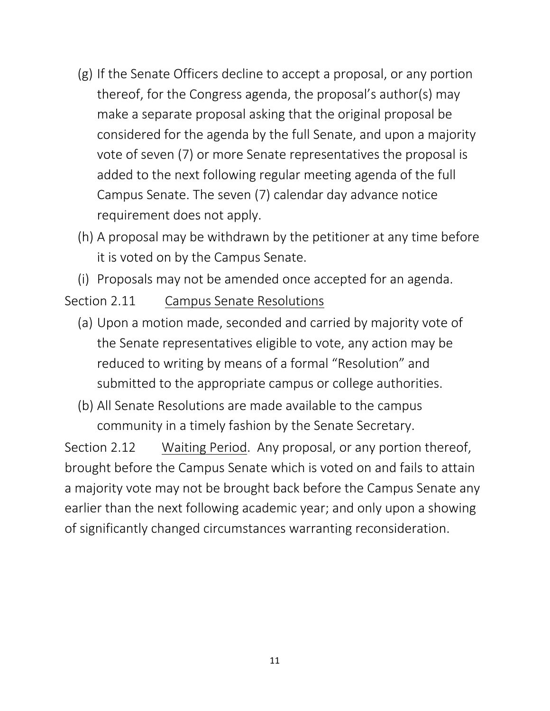- (g) If the Senate Officers decline to accept a proposal, or any portion thereof, for the Congress agenda, the proposal's author(s) may make a separate proposal asking that the original proposal be considered for the agenda by the full Senate, and upon a majority vote of seven (7) or more Senate representatives the proposal is added to the next following regular meeting agenda of the full Campus Senate. The seven (7) calendar day advance notice requirement does not apply.
- (h) A proposal may be withdrawn by the petitioner at any time before it is voted on by the Campus Senate.
- (i) Proposals may not be amended once accepted for an agenda.
- Section 2.11 Campus Senate Resolutions
	- (a) Upon a motion made, seconded and carried by majority vote of the Senate representatives eligible to vote, any action may be reduced to writing by means of a formal "Resolution" and submitted to the appropriate campus or college authorities.
	- (b) All Senate Resolutions are made available to the campus community in a timely fashion by the Senate Secretary.

Section 2.12 Waiting Period. Any proposal, or any portion thereof, brought before the Campus Senate which is voted on and fails to attain a majority vote may not be brought back before the Campus Senate any earlier than the next following academic year; and only upon a showing of significantly changed circumstances warranting reconsideration.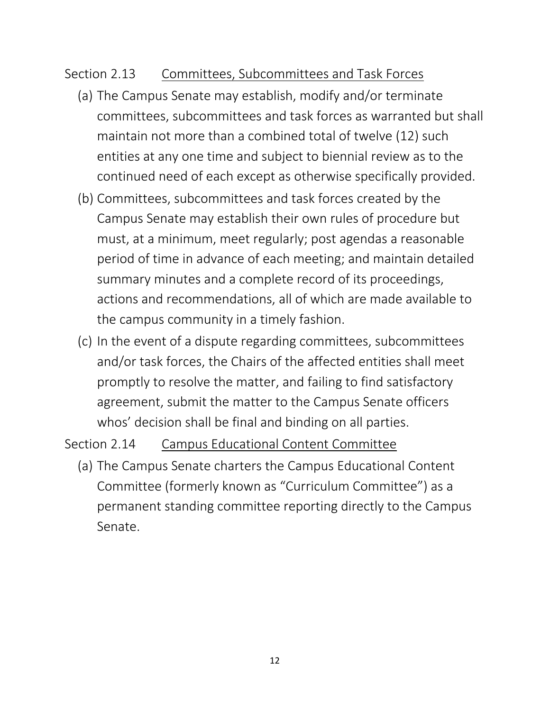#### Section 2.13 Committees, Subcommittees and Task Forces

- (a) The Campus Senate may establish, modify and/or terminate committees, subcommittees and task forces as warranted but shall maintain not more than a combined total of twelve (12) such entities at any one time and subject to biennial review as to the continued need of each except as otherwise specifically provided.
- (b) Committees, subcommittees and task forces created by the Campus Senate may establish their own rules of procedure but must, at a minimum, meet regularly; post agendas a reasonable period of time in advance of each meeting; and maintain detailed summary minutes and a complete record of its proceedings, actions and recommendations, all of which are made available to the campus community in a timely fashion.
- (c) In the event of a dispute regarding committees, subcommittees and/or task forces, the Chairs of the affected entities shall meet promptly to resolve the matter, and failing to find satisfactory agreement, submit the matter to the Campus Senate officers whos' decision shall be final and binding on all parties.

Section 2.14 Campus Educational Content Committee

(a) The Campus Senate charters the Campus Educational Content Committee (formerly known as "Curriculum Committee") as a permanent standing committee reporting directly to the Campus Senate.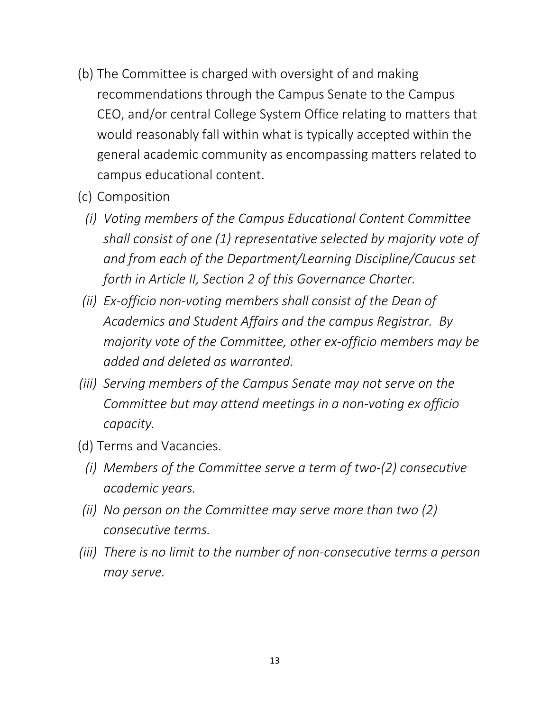- (b) The Committee is charged with oversight of and making recommendations through the Campus Senate to the Campus CEO, and/or central College System Office relating to matters that would reasonably fall within what is typically accepted within the general academic community as encompassing matters related to campus educational content.
- (c) Composition
	- *(i) Voting members of the Campus Educational Content Committee shall consist of one (1) representative selected by majority vote of and from each of the Department/Learning Discipline/Caucus set forth in Article II, Section 2 of this Governance Charter.*
- *(ii) Ex-officio non-voting members shall consist of the Dean of Academics and Student Affairs and the campus Registrar. By majority vote of the Committee, other ex-officio members may be added and deleted as warranted.*
- *(iii) Serving members of the Campus Senate may not serve on the Committee but may attend meetings in a non-voting ex officio capacity.*
- (d) Terms and Vacancies.
	- *(i) Members of the Committee serve a term of two-(2) consecutive academic years.*
- *(ii) No person on the Committee may serve more than two (2) consecutive terms.*
- *(iii) There is no limit to the number of non-consecutive terms a person may serve.*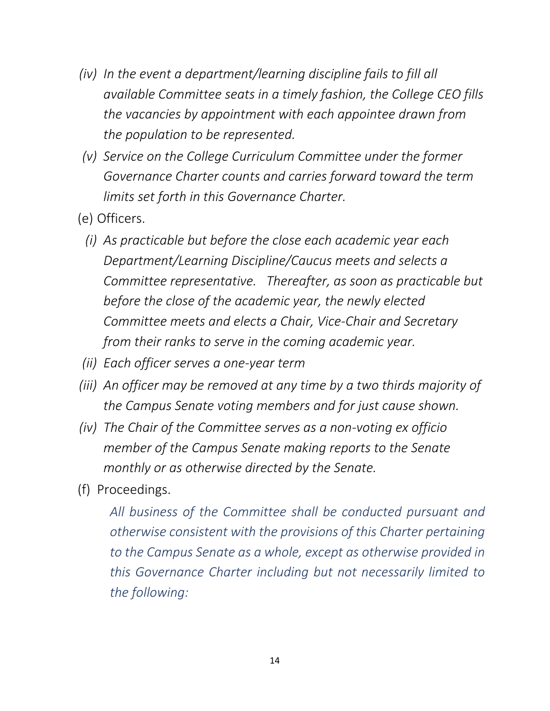- *(iv) In the event a department/learning discipline fails to fill all available Committee seats in a timely fashion, the College CEO fills the vacancies by appointment with each appointee drawn from the population to be represented.*
- *(v) Service on the College Curriculum Committee under the former Governance Charter counts and carries forward toward the term limits set forth in this Governance Charter.*
- (e) Officers.
	- *(i) As practicable but before the close each academic year each Department/Learning Discipline/Caucus meets and selects a Committee representative. Thereafter, as soon as practicable but before the close of the academic year, the newly elected Committee meets and elects a Chair, Vice-Chair and Secretary from their ranks to serve in the coming academic year.*
- *(ii) Each officer serves a one-year term*
- *(iii) An officer may be removed at any time by a two thirds majority of the Campus Senate voting members and for just cause shown.*
- *(iv) The Chair of the Committee serves as a non-voting ex officio member of the Campus Senate making reports to the Senate monthly or as otherwise directed by the Senate.*
- (f) Proceedings.

*All business of the Committee shall be conducted pursuant and otherwise consistent with the provisions of this Charter pertaining to the Campus Senate as a whole, except as otherwise provided in this Governance Charter including but not necessarily limited to the following:*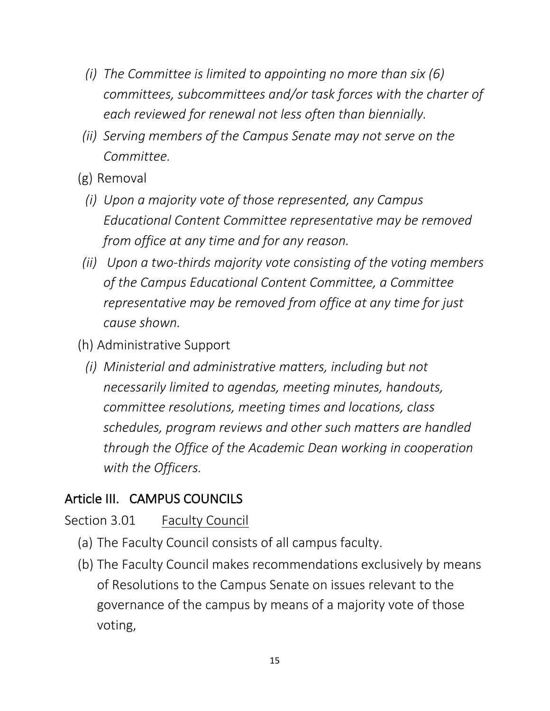- *(i) The Committee is limited to appointing no more than six (6) committees, subcommittees and/or task forces with the charter of each reviewed for renewal not less often than biennially.*
- *(ii) Serving members of the Campus Senate may not serve on the Committee.*
- (g) Removal
	- *(i) Upon a majority vote of those represented, any Campus Educational Content Committee representative may be removed from office at any time and for any reason.*
- *(ii) Upon a two-thirds majority vote consisting of the voting members of the Campus Educational Content Committee, a Committee representative may be removed from office at any time for just cause shown.*
- (h) Administrative Support
	- *(i) Ministerial and administrative matters, including but not necessarily limited to agendas, meeting minutes, handouts, committee resolutions, meeting times and locations, class schedules, program reviews and other such matters are handled through the Office of the Academic Dean working in cooperation with the Officers.*

## Article III. CAMPUS COUNCILS

#### Section 3.01 Faculty Council

- (a) The Faculty Council consists of all campus faculty.
- (b) The Faculty Council makes recommendations exclusively by means of Resolutions to the Campus Senate on issues relevant to the governance of the campus by means of a majority vote of those voting,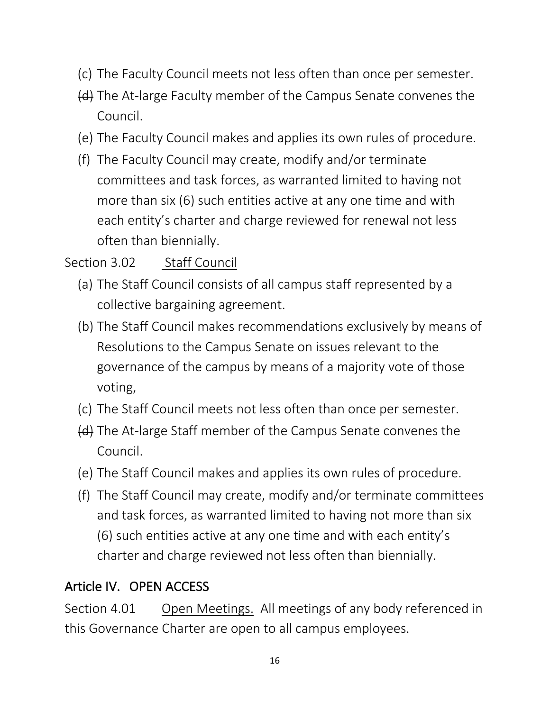- (c) The Faculty Council meets not less often than once per semester.
- (d) The At-large Faculty member of the Campus Senate convenes the Council.
- (e) The Faculty Council makes and applies its own rules of procedure.
- (f) The Faculty Council may create, modify and/or terminate committees and task forces, as warranted limited to having not more than six (6) such entities active at any one time and with each entity's charter and charge reviewed for renewal not less often than biennially.

### Section 3.02 Staff Council

- (a) The Staff Council consists of all campus staff represented by a collective bargaining agreement.
- (b) The Staff Council makes recommendations exclusively by means of Resolutions to the Campus Senate on issues relevant to the governance of the campus by means of a majority vote of those voting,
- (c) The Staff Council meets not less often than once per semester.
- (d) The At-large Staff member of the Campus Senate convenes the Council.
- (e) The Staff Council makes and applies its own rules of procedure.
- (f) The Staff Council may create, modify and/or terminate committees and task forces, as warranted limited to having not more than six (6) such entities active at any one time and with each entity's charter and charge reviewed not less often than biennially.

## Article IV. OPEN ACCESS

Section 4.01 Open Meetings. All meetings of any body referenced in this Governance Charter are open to all campus employees.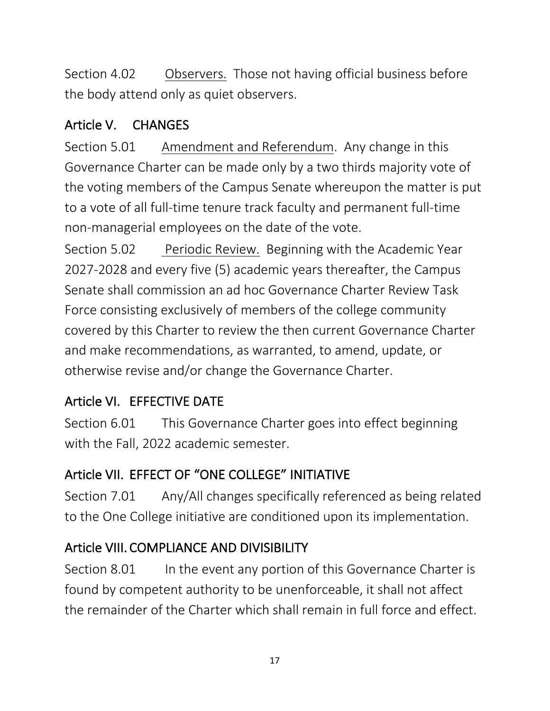Section 4.02 Observers. Those not having official business before the body attend only as quiet observers.

## Article V. CHANGES

Section 5.01 Amendment and Referendum. Any change in this Governance Charter can be made only by a two thirds majority vote of the voting members of the Campus Senate whereupon the matter is put to a vote of all full-time tenure track faculty and permanent full-time non-managerial employees on the date of the vote.

Section 5.02 Periodic Review. Beginning with the Academic Year 2027-2028 and every five (5) academic years thereafter, the Campus Senate shall commission an ad hoc Governance Charter Review Task Force consisting exclusively of members of the college community covered by this Charter to review the then current Governance Charter and make recommendations, as warranted, to amend, update, or otherwise revise and/or change the Governance Charter.

# Article VI. EFFECTIVE DATE

Section 6.01 This Governance Charter goes into effect beginning with the Fall, 2022 academic semester.

# Article VII. EFFECT OF "ONE COLLEGE" INITIATIVE

Section 7.01 Any/All changes specifically referenced as being related to the One College initiative are conditioned upon its implementation.

# Article VIII. COMPLIANCE AND DIVISIBILITY

Section 8.01 In the event any portion of this Governance Charter is found by competent authority to be unenforceable, it shall not affect the remainder of the Charter which shall remain in full force and effect.